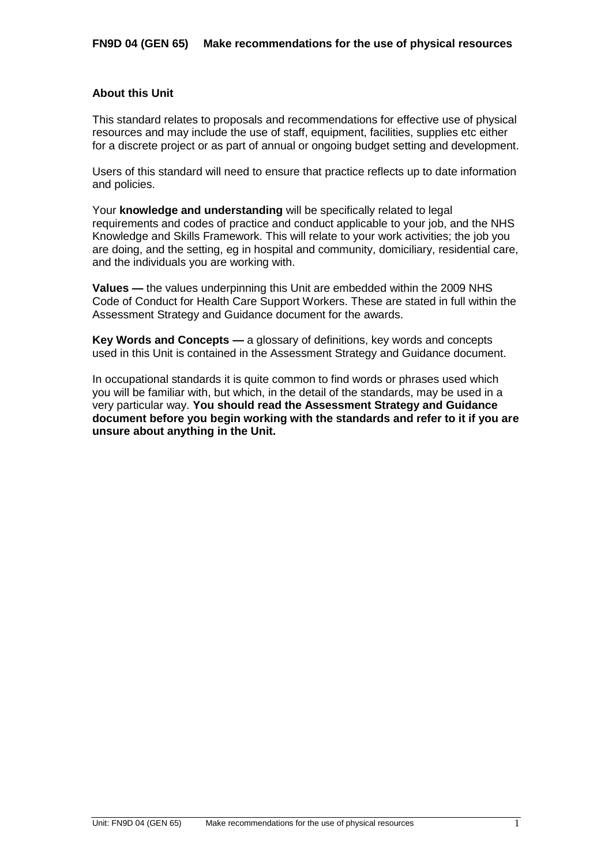# **About this Unit**

This standard relates to proposals and recommendations for effective use of physical resources and may include the use of staff, equipment, facilities, supplies etc either for a discrete project or as part of annual or ongoing budget setting and development.

Users of this standard will need to ensure that practice reflects up to date information and policies.

Your **knowledge and understanding** will be specifically related to legal requirements and codes of practice and conduct applicable to your job, and the NHS Knowledge and Skills Framework. This will relate to your work activities; the job you are doing, and the setting, eg in hospital and community, domiciliary, residential care, and the individuals you are working with.

**Values —** the values underpinning this Unit are embedded within the 2009 NHS Code of Conduct for Health Care Support Workers. These are stated in full within the Assessment Strategy and Guidance document for the awards.

**Key Words and Concepts —** a glossary of definitions, key words and concepts used in this Unit is contained in the Assessment Strategy and Guidance document.

In occupational standards it is quite common to find words or phrases used which you will be familiar with, but which, in the detail of the standards, may be used in a very particular way. **You should read the Assessment Strategy and Guidance document before you begin working with the standards and refer to it if you are unsure about anything in the Unit.**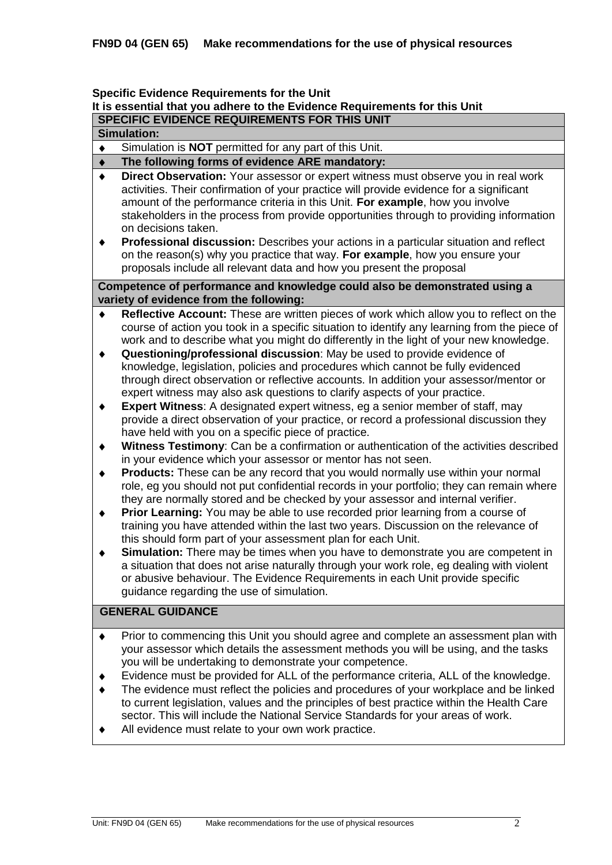### **Specific Evidence Requirements for the Unit**

# **It is essential that you adhere to the Evidence Requirements for this Unit**

# **SPECIFIC EVIDENCE REQUIREMENTS FOR THIS UNIT**

# **Simulation:**

Simulation is **NOT** permitted for any part of this Unit.  $\bullet$ 

#### **The following forms of evidence ARE mandatory:**  $\blacklozenge$

- **Direct Observation:** Your assessor or expert witness must observe you in real work  $\bullet$ activities. Their confirmation of your practice will provide evidence for a significant amount of the performance criteria in this Unit. **For example**, how you involve stakeholders in the process from provide opportunities through to providing information on decisions taken.
- **Professional discussion:** Describes your actions in a particular situation and reflect  $\bullet$ on the reason(s) why you practice that way. **For example**, how you ensure your proposals include all relevant data and how you present the proposal

# **Competence of performance and knowledge could also be demonstrated using a variety of evidence from the following:**

- **Reflective Account:** These are written pieces of work which allow you to reflect on the course of action you took in a specific situation to identify any learning from the piece of work and to describe what you might do differently in the light of your new knowledge.
- $\blacklozenge$ **Questioning/professional discussion**: May be used to provide evidence of knowledge, legislation, policies and procedures which cannot be fully evidenced through direct observation or reflective accounts. In addition your assessor/mentor or expert witness may also ask questions to clarify aspects of your practice.
- **Expert Witness**: A designated expert witness, eg a senior member of staff, may  $\blacklozenge$ provide a direct observation of your practice, or record a professional discussion they have held with you on a specific piece of practice.
- **Witness Testimony**: Can be a confirmation or authentication of the activities described  $\blacklozenge$ in your evidence which your assessor or mentor has not seen.
- **Products:** These can be any record that you would normally use within your normal  $\blacklozenge$ role, eg you should not put confidential records in your portfolio; they can remain where they are normally stored and be checked by your assessor and internal verifier.
- **Prior Learning:** You may be able to use recorded prior learning from a course of  $\bullet$ training you have attended within the last two years. Discussion on the relevance of this should form part of your assessment plan for each Unit.
- $\ddot{\bullet}$ **Simulation:** There may be times when you have to demonstrate you are competent in a situation that does not arise naturally through your work role, eg dealing with violent or abusive behaviour. The Evidence Requirements in each Unit provide specific guidance regarding the use of simulation.

# **GENERAL GUIDANCE**

- Prior to commencing this Unit you should agree and complete an assessment plan with  $\blacklozenge$ your assessor which details the assessment methods you will be using, and the tasks you will be undertaking to demonstrate your competence.
- Evidence must be provided for ALL of the performance criteria, ALL of the knowledge.  $\blacklozenge$
- The evidence must reflect the policies and procedures of your workplace and be linked to current legislation, values and the principles of best practice within the Health Care sector. This will include the National Service Standards for your areas of work.
- All evidence must relate to your own work practice.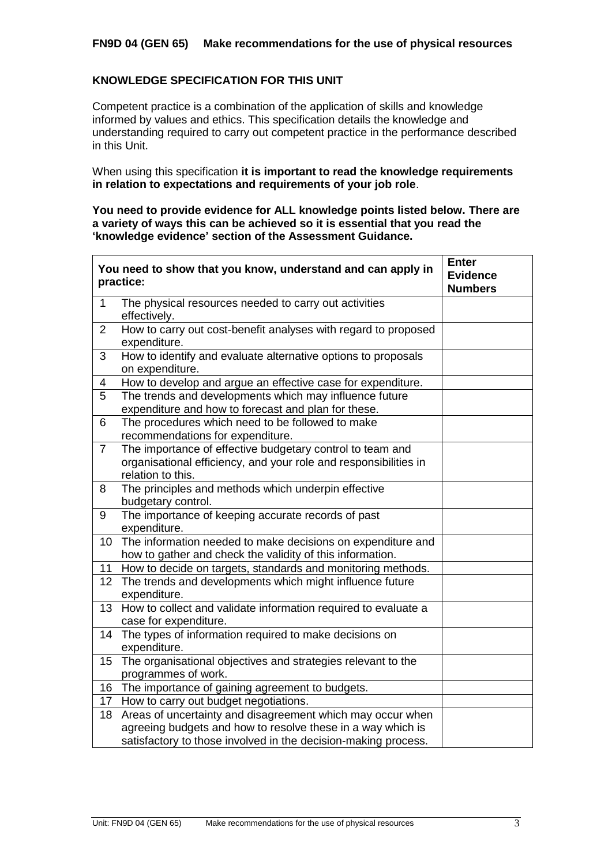# **FN9D 04 (GEN 65) Make recommendations for the use of physical resources**

# **KNOWLEDGE SPECIFICATION FOR THIS UNIT**

 $\mathbf{r}$ 

Competent practice is a combination of the application of skills and knowledge informed by values and ethics. This specification details the knowledge and understanding required to carry out competent practice in the performance described in this Unit.

When using this specification **it is important to read the knowledge requirements in relation to expectations and requirements of your job role**.

**You need to provide evidence for ALL knowledge points listed below. There are a variety of ways this can be achieved so it is essential that you read the 'knowledge evidence' section of the Assessment Guidance.**

|                 | You need to show that you know, understand and can apply in<br>practice:                                                                           | <b>Enter</b><br><b>Evidence</b><br><b>Numbers</b> |
|-----------------|----------------------------------------------------------------------------------------------------------------------------------------------------|---------------------------------------------------|
| $\mathbf{1}$    | The physical resources needed to carry out activities<br>effectively.                                                                              |                                                   |
| $\overline{2}$  | How to carry out cost-benefit analyses with regard to proposed<br>expenditure.                                                                     |                                                   |
| 3               | How to identify and evaluate alternative options to proposals<br>on expenditure.                                                                   |                                                   |
| 4               | How to develop and argue an effective case for expenditure.                                                                                        |                                                   |
| 5               | The trends and developments which may influence future<br>expenditure and how to forecast and plan for these.                                      |                                                   |
| 6               | The procedures which need to be followed to make<br>recommendations for expenditure.                                                               |                                                   |
| $\overline{7}$  | The importance of effective budgetary control to team and<br>organisational efficiency, and your role and responsibilities in<br>relation to this. |                                                   |
| 8               | The principles and methods which underpin effective<br>budgetary control.                                                                          |                                                   |
| 9               | The importance of keeping accurate records of past<br>expenditure.                                                                                 |                                                   |
| 10              | The information needed to make decisions on expenditure and<br>how to gather and check the validity of this information.                           |                                                   |
| 11              | How to decide on targets, standards and monitoring methods.                                                                                        |                                                   |
| 12 <sub>2</sub> | The trends and developments which might influence future<br>expenditure.                                                                           |                                                   |
| 13              | How to collect and validate information required to evaluate a<br>case for expenditure.                                                            |                                                   |
| 14              | The types of information required to make decisions on<br>expenditure.                                                                             |                                                   |
| 15              | The organisational objectives and strategies relevant to the<br>programmes of work.                                                                |                                                   |
| 16              | The importance of gaining agreement to budgets.                                                                                                    |                                                   |
| 17 <sub>2</sub> | How to carry out budget negotiations.                                                                                                              |                                                   |
| 18              | Areas of uncertainty and disagreement which may occur when                                                                                         |                                                   |
|                 | agreeing budgets and how to resolve these in a way which is                                                                                        |                                                   |
|                 | satisfactory to those involved in the decision-making process.                                                                                     |                                                   |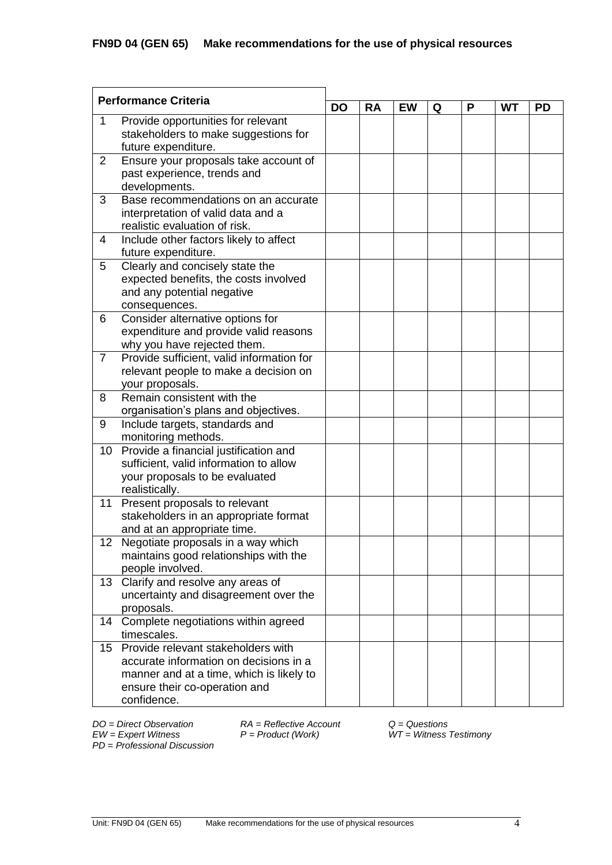| <b>Performance Criteria</b>             |                                                                                    | <b>DO</b> | <b>RA</b> | <b>EW</b> | Q | P | <b>WT</b> | <b>PD</b> |
|-----------------------------------------|------------------------------------------------------------------------------------|-----------|-----------|-----------|---|---|-----------|-----------|
| Provide opportunities for relevant<br>1 |                                                                                    |           |           |           |   |   |           |           |
|                                         | stakeholders to make suggestions for                                               |           |           |           |   |   |           |           |
|                                         | future expenditure.                                                                |           |           |           |   |   |           |           |
| 2                                       | Ensure your proposals take account of                                              |           |           |           |   |   |           |           |
|                                         | past experience, trends and                                                        |           |           |           |   |   |           |           |
|                                         | developments.                                                                      |           |           |           |   |   |           |           |
| 3                                       | Base recommendations on an accurate                                                |           |           |           |   |   |           |           |
|                                         | interpretation of valid data and a                                                 |           |           |           |   |   |           |           |
|                                         | realistic evaluation of risk.                                                      |           |           |           |   |   |           |           |
| $\overline{4}$                          | Include other factors likely to affect                                             |           |           |           |   |   |           |           |
|                                         | future expenditure.                                                                |           |           |           |   |   |           |           |
| 5                                       | Clearly and concisely state the                                                    |           |           |           |   |   |           |           |
|                                         | expected benefits, the costs involved                                              |           |           |           |   |   |           |           |
|                                         | and any potential negative                                                         |           |           |           |   |   |           |           |
|                                         | consequences.                                                                      |           |           |           |   |   |           |           |
| 6                                       | Consider alternative options for                                                   |           |           |           |   |   |           |           |
|                                         | expenditure and provide valid reasons                                              |           |           |           |   |   |           |           |
| $\overline{7}$                          | why you have rejected them.                                                        |           |           |           |   |   |           |           |
|                                         | Provide sufficient, valid information for<br>relevant people to make a decision on |           |           |           |   |   |           |           |
|                                         | your proposals.                                                                    |           |           |           |   |   |           |           |
| 8                                       | Remain consistent with the                                                         |           |           |           |   |   |           |           |
|                                         | organisation's plans and objectives.                                               |           |           |           |   |   |           |           |
| 9                                       | Include targets, standards and                                                     |           |           |           |   |   |           |           |
|                                         | monitoring methods.                                                                |           |           |           |   |   |           |           |
| 10                                      | Provide a financial justification and                                              |           |           |           |   |   |           |           |
|                                         | sufficient, valid information to allow                                             |           |           |           |   |   |           |           |
|                                         | your proposals to be evaluated                                                     |           |           |           |   |   |           |           |
|                                         | realistically.                                                                     |           |           |           |   |   |           |           |
| 11                                      | Present proposals to relevant                                                      |           |           |           |   |   |           |           |
|                                         | stakeholders in an appropriate format                                              |           |           |           |   |   |           |           |
|                                         | and at an appropriate time.                                                        |           |           |           |   |   |           |           |
| 12                                      | Negotiate proposals in a way which                                                 |           |           |           |   |   |           |           |
|                                         | maintains good relationships with the                                              |           |           |           |   |   |           |           |
|                                         | people involved.                                                                   |           |           |           |   |   |           |           |
| 13 <sup>°</sup>                         | Clarify and resolve any areas of<br>uncertainty and disagreement over the          |           |           |           |   |   |           |           |
|                                         | proposals.                                                                         |           |           |           |   |   |           |           |
| 14                                      | Complete negotiations within agreed                                                |           |           |           |   |   |           |           |
|                                         | timescales.                                                                        |           |           |           |   |   |           |           |
| 15 <sub>1</sub>                         | Provide relevant stakeholders with                                                 |           |           |           |   |   |           |           |
|                                         | accurate information on decisions in a                                             |           |           |           |   |   |           |           |
|                                         | manner and at a time, which is likely to                                           |           |           |           |   |   |           |           |
|                                         | ensure their co-operation and                                                      |           |           |           |   |   |           |           |
|                                         | confidence.                                                                        |           |           |           |   |   |           |           |

*PD* = *Professional Discussion*

*DO = Direct Observation RA = Reflective Account Q = Questions*

*EW = Expert Witness P = Product (Work) WT = Witness Testimony*